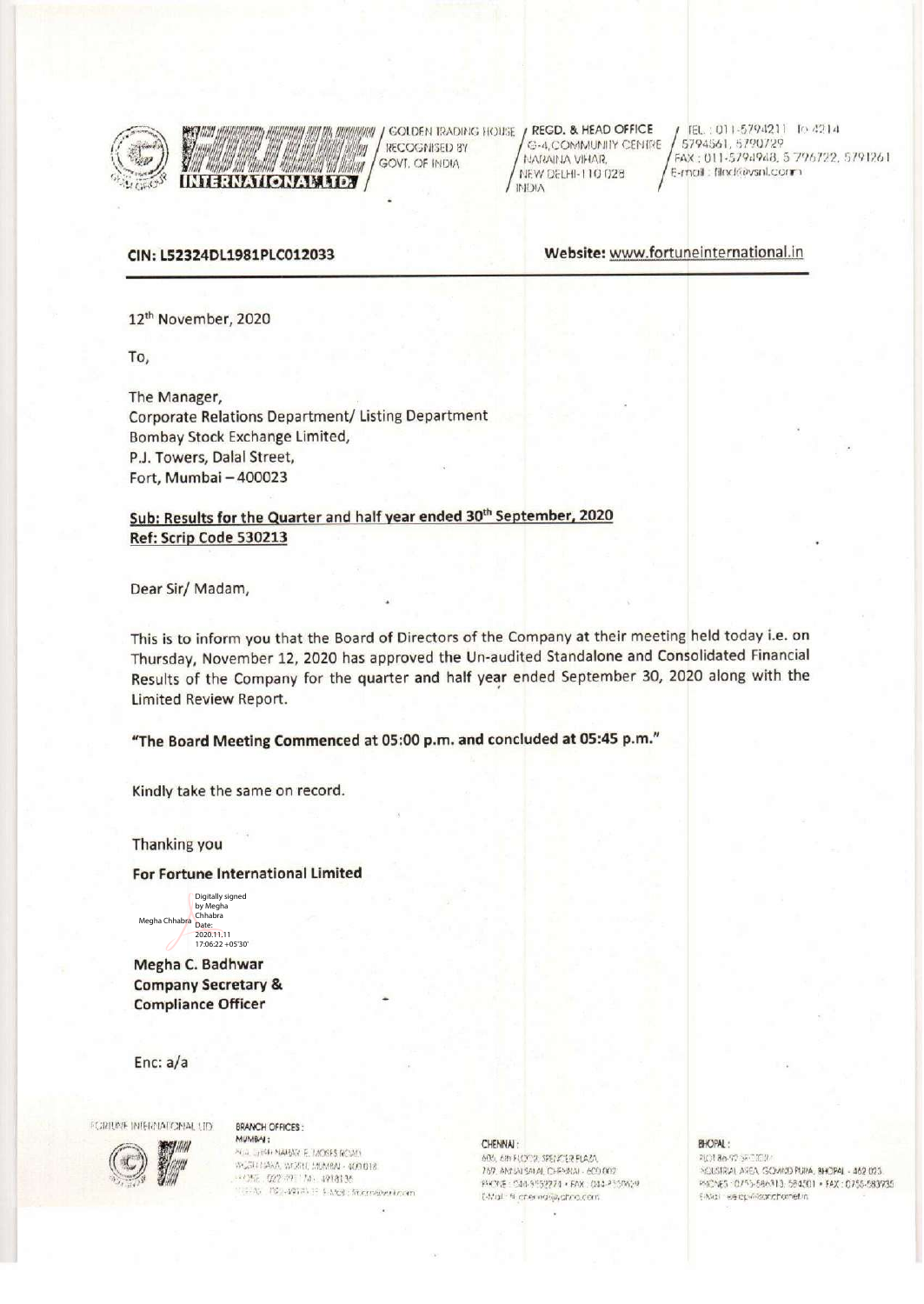

 $\left(\sqrt{2a}\right)$   $\left(\sqrt{2a}\right)$   $\left(\sqrt{2a}\right)$   $\left(\sqrt{2a}\right)$   $\left(\sqrt{2a}\right)$   $\left(\sqrt{2a}\right)$   $\left(\sqrt{2a}\right)$   $\left(\sqrt{2a}\right)$   $\left(\sqrt{2a}\right)$   $\left(\sqrt{2a}\right)$   $\left(\sqrt{2a}\right)$   $\left(\sqrt{2a}\right)$   $\left(\sqrt{2a}\right)$   $\left(\sqrt{2a}\right)$   $\left(\sqrt{2a}\right)$   $\left(\sqrt{2a}\right)$   $\left(\sqrt{2a}\right)$  NEW ORDER TRADITION COLORED BY<br>
THE COGNISED BY<br>
NEW DELHI-110 028 FAX: 011-5794948, 5 7<br>
E-mol : filndéevsnl.com CON: L52324DL1981PLC012033<br>
Website: www.fortuneinternational.in

 $\sqrt{ }$ RECOGNISED BY G-4,COMMUNITY CENTRE<br>GOVE OF INDIA

E-mail: filmd@vsnl.com GOLDEN IRADING HOUSE  $f$  REGD. & HEAD OFFICE  $f$  (EL.: 011-5794211 lo d2.14) 5794561, 5790729

CIN: L52324DL1981PLC012033 Website: www.fortuneinternational.in

12<sup>th</sup> November, 2020

**Manu** 

To,

The Manager, Corporate Relations Department/Listing Department Bombay Stock Exchange Limited, P.J. Towers, Dalal Street, Fort, Mumbai — 400023

### Sub: Results for the Quarter and half year ended 30<sup>th</sup> September, 2020 Ref: Scrip Code 530213

2

Dear Sir/ Madam,

This is to inform you that the Board of Directors of the Companyat their meeting held today i.e. on Thursday, November 12, 2020 has approved the Un-audited Standalone and Consolidated Financial Results of the Company for the quarter and half year ended September 30, 2020 along with the Limited Review Report.

"The Board Meeting Commencedat 05:00 p.m. and concluded at 05:45 p.m."

Kindly take the same on record.

Thanking you

#### For Fortune International Limited

Megha Chhabra Digitally signed<br>by Megha by Megha Chhabra Date: 2020.11.11 17:06:22 +05'30'

Megha C. Badhwar **Company Secretary &** Compliance Officer

Enc: a/a

PORIUME INTERNATIONAL LID BRANCH OFFICES :

**мимва:**<br>2011 (1940 манай Е. MOSES ROAN)<br>30ДВТАХА, УКХИ, МИМВА - 400 018<br>110206 - 022 491 7.41 (1914)196<br>1100 № - 021 4914)11 (1928) (Remarkeloom et en un de restaurant de la commune de la commune de la commune de la commune de la commune de la commune de<br>Historie A AAS STR MAARAN AAN DIE MAART VAN DIE STANDAARDE STANDAART VAN DIE STANDAART VAN DIE STANDAART VAN DIE STANDA<br>Af " , we ree A stelling word word ag 2018 bue en 2018 bue en 2018 Bue, in Puan Ag 2018 bue en 2018 bue en 20<br>A COMPITATION (TO SEANCH OFFICES:<br>
MUMBAR: MUMBAR: MUMBAR: MUMBAR: MUMBAR: MUMBAR: MUMBAR: MUMBAR: MUMBAR: MUMBAR: MUMBAR: MUMBAR: MUMBAR: 442 023<br>
MUMBAR: MUMBAR: MUMBAR: MUMBAR: MUMBAR: 1993-7974-442 023<br>
- HOPAL: MUMBAR: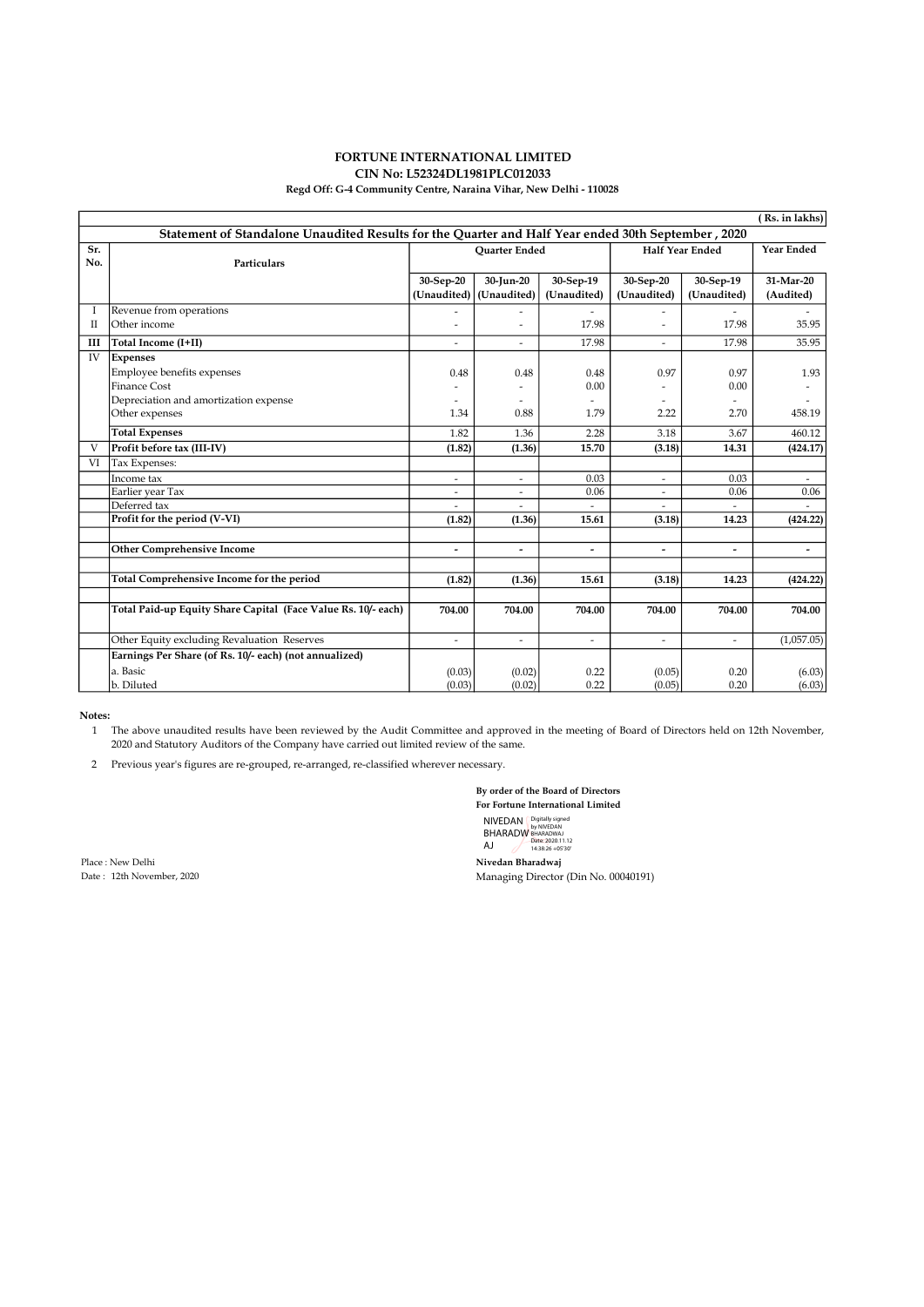### FORTUNE INTERNATIONAL LIMITED CIN No: L52324DL1981PLC012033

#### Regd Off: G-4 Community Centre, Naraina Vihar, New Delhi - 110028

|                                                                                                    |                                                               |                          |                          |                          | ( Rs. in lakhs)          |                          |                          |
|----------------------------------------------------------------------------------------------------|---------------------------------------------------------------|--------------------------|--------------------------|--------------------------|--------------------------|--------------------------|--------------------------|
| Statement of Standalone Unaudited Results for the Quarter and Half Year ended 30th September, 2020 |                                                               |                          |                          |                          |                          |                          |                          |
| Sr.                                                                                                |                                                               | <b>Ouarter Ended</b>     |                          |                          | <b>Half Year Ended</b>   |                          | <b>Year Ended</b>        |
| No.                                                                                                | Particulars                                                   |                          |                          |                          |                          |                          |                          |
|                                                                                                    |                                                               | 30-Sep-20                | 30-Jun-20                | 30-Sep-19                | 30-Sep-20                | 30-Sep-19                | 31-Mar-20                |
|                                                                                                    |                                                               | (Unaudited)              | (Unaudited)              | (Unaudited)              | (Unaudited)              | (Unaudited)              | (Audited)                |
| Ι                                                                                                  | Revenue from operations                                       |                          |                          |                          |                          |                          |                          |
| П                                                                                                  | Other income                                                  | ٠                        | ÷,                       | 17.98                    | $\overline{\phantom{a}}$ | 17.98                    | 35.95                    |
| Ш                                                                                                  | Total Income (I+II)                                           |                          | ٠                        | 17.98                    | $\overline{a}$           | 17.98                    | 35.95                    |
| IV                                                                                                 | <b>Expenses</b>                                               |                          |                          |                          |                          |                          |                          |
|                                                                                                    | Employee benefits expenses                                    | 0.48                     | 0.48                     | 0.48                     | 0.97                     | 0.97                     | 1.93                     |
|                                                                                                    | <b>Finance Cost</b>                                           |                          |                          | 0.00                     |                          | 0.00                     |                          |
|                                                                                                    | Depreciation and amortization expense                         |                          |                          |                          |                          |                          |                          |
|                                                                                                    | Other expenses                                                | 1.34                     | 0.88                     | 1.79                     | 2.22                     | 2.70                     | 458.19                   |
|                                                                                                    | <b>Total Expenses</b>                                         | 1.82                     | 1.36                     | 2.28                     | 3.18                     | 3.67                     | 460.12                   |
| V                                                                                                  | Profit before tax (III-IV)                                    | (1.82)                   | (1.36)                   | 15.70                    | (3.18)                   | 14.31                    | (424.17)                 |
| VI                                                                                                 | Tax Expenses:                                                 |                          |                          |                          |                          |                          |                          |
|                                                                                                    | Income tax                                                    | $\overline{\phantom{a}}$ | $\overline{\phantom{a}}$ | 0.03                     | $\overline{\phantom{a}}$ | 0.03                     | $\overline{\phantom{a}}$ |
|                                                                                                    | Earlier year Tax                                              | ۰                        | $\overline{\phantom{a}}$ | 0.06                     | $\overline{\phantom{a}}$ | 0.06                     | 0.06                     |
|                                                                                                    | Deferred tax                                                  |                          |                          |                          |                          |                          |                          |
|                                                                                                    | Profit for the period (V-VI)                                  | (1.82)                   | (1.36)                   | 15.61                    | (3.18)                   | 14.23                    | (424.22)                 |
|                                                                                                    |                                                               |                          |                          |                          |                          |                          |                          |
|                                                                                                    | <b>Other Comprehensive Income</b>                             | $\overline{\phantom{0}}$ | $\overline{\phantom{0}}$ | $\overline{\phantom{0}}$ | $\overline{a}$           | $\overline{\phantom{a}}$ | $\overline{\phantom{0}}$ |
|                                                                                                    |                                                               |                          |                          |                          |                          |                          |                          |
|                                                                                                    | <b>Total Comprehensive Income for the period</b>              | (1.82)                   | (1.36)                   | 15.61                    | (3.18)                   | 14.23                    | (424.22)                 |
|                                                                                                    |                                                               |                          |                          |                          |                          |                          |                          |
|                                                                                                    | Total Paid-up Equity Share Capital (Face Value Rs. 10/- each) | 704.00                   | 704.00                   | 704.00                   | 704.00                   | 704.00                   | 704.00                   |
|                                                                                                    |                                                               |                          |                          |                          |                          |                          |                          |
|                                                                                                    | Other Equity excluding Revaluation Reserves                   | $\overline{a}$           | $\overline{\phantom{a}}$ | $\overline{a}$           | $\overline{\phantom{a}}$ | $\overline{\phantom{a}}$ | (1,057.05)               |
|                                                                                                    | Earnings Per Share (of Rs. 10/- each) (not annualized)        |                          |                          |                          |                          |                          |                          |
|                                                                                                    | a. Basic                                                      | (0.03)                   | (0.02)                   | 0.22                     | (0.05)                   | 0.20                     | (6.03)                   |
|                                                                                                    | b. Diluted                                                    | (0.03)                   | (0.02)                   | 0.22                     | (0.05)                   | 0.20                     | (6.03)                   |

Notes:

1 The above unaudited results have been reviewed by the Audit Committee and approved in the meeting of Board of Directors held on 12th November, 2020 and Statutory Auditors of the Company have carried out limited review of the same.

2 Previous year's figures are re-grouped, re-arranged, re-classified wherever necessary.

By order of the Board of Directors For Fortune International Limited NIVEDAN BHARADW AJ Digitally signed by NIVEDAN BHARADWAJ Date: 2020.11.12 14:38:26 +05'30'

Place : New Delhi Nivedan Bharadwaj (1992)<br>
Date : 12th November, 2020<br>
Managing Director

Managing Director (Din No. 00040191)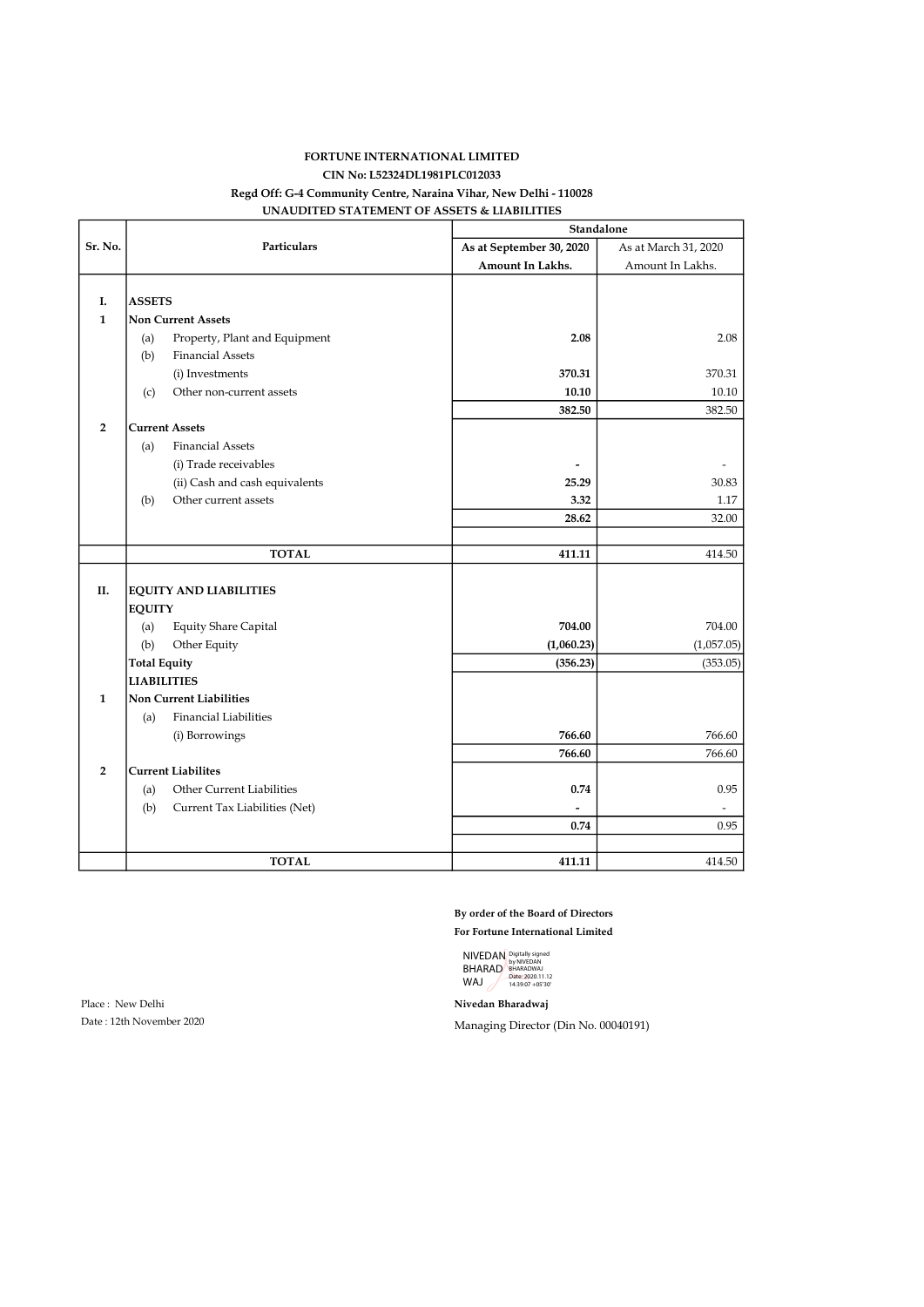### FORTUNE INTERNATIONAL LIMITED CIN No: L52324DL1981PLC012033 Regd Off: G-4 Community Centre, Naraina Vihar, New Delhi - 110028 UNAUDITED STATEMENT OF ASSETS & LIABILITIES

|                |                     |                                | Standalone               |                      |  |  |
|----------------|---------------------|--------------------------------|--------------------------|----------------------|--|--|
| Sr. No.        | <b>Particulars</b>  |                                | As at September 30, 2020 | As at March 31, 2020 |  |  |
|                |                     |                                | Amount In Lakhs.         | Amount In Lakhs.     |  |  |
|                |                     |                                |                          |                      |  |  |
| I.             | <b>ASSETS</b>       |                                |                          |                      |  |  |
| $\mathbf{1}$   |                     | <b>Non Current Assets</b>      |                          |                      |  |  |
|                | (a)                 | Property, Plant and Equipment  | 2.08                     | 2.08                 |  |  |
|                | (b)                 | <b>Financial Assets</b>        |                          |                      |  |  |
|                |                     | (i) Investments                | 370.31                   | 370.31               |  |  |
|                | (c)                 | Other non-current assets       | 10.10                    | 10.10                |  |  |
|                |                     |                                | 382.50                   | 382.50               |  |  |
| $\overline{2}$ |                     | <b>Current Assets</b>          |                          |                      |  |  |
|                | (a)                 | <b>Financial Assets</b>        |                          |                      |  |  |
|                |                     | (i) Trade receivables          | $\overline{a}$           |                      |  |  |
|                |                     | (ii) Cash and cash equivalents | 25.29                    | 30.83                |  |  |
|                | (b)                 | Other current assets           | 3.32                     | 1.17                 |  |  |
|                |                     |                                | 28.62                    | 32.00                |  |  |
|                |                     |                                |                          |                      |  |  |
|                |                     | <b>TOTAL</b>                   | 411.11                   | 414.50               |  |  |
| П.             |                     | <b>EQUITY AND LIABILITIES</b>  |                          |                      |  |  |
|                | <b>EQUITY</b>       |                                |                          |                      |  |  |
|                | (a)                 | Equity Share Capital           | 704.00                   | 704.00               |  |  |
|                | (b)                 | Other Equity                   | (1,060.23)               | (1,057.05)           |  |  |
|                | <b>Total Equity</b> |                                | (356.23)                 | (353.05)             |  |  |
|                | <b>LIABILITIES</b>  |                                |                          |                      |  |  |
| $\mathbf{1}$   |                     | <b>Non Current Liabilities</b> |                          |                      |  |  |
|                | (a)                 | <b>Financial Liabilities</b>   |                          |                      |  |  |
|                |                     | (i) Borrowings                 | 766.60                   | 766.60               |  |  |
|                |                     |                                | 766.60                   | 766.60               |  |  |
| $\overline{2}$ |                     | <b>Current Liabilites</b>      |                          |                      |  |  |
|                | (a)                 | Other Current Liabilities      | 0.74                     | 0.95                 |  |  |
|                | (b)                 | Current Tax Liabilities (Net)  |                          |                      |  |  |
|                |                     |                                | 0.74                     | 0.95                 |  |  |
|                |                     |                                |                          |                      |  |  |
|                |                     | <b>TOTAL</b>                   | 411.11                   | 414.50               |  |  |

#### By order of the Board of Directors For Fortune International Limited

NIVEDAN BHARAD WAJ Digitally signed by NIVEDAN BHARADWAJ Date: 2020.11.12 14:39:07 +05'30'

Place : New Delhi Nivedan Bharadwaj

Date : 12th November 2020 Managing Director (Din No. 00040191)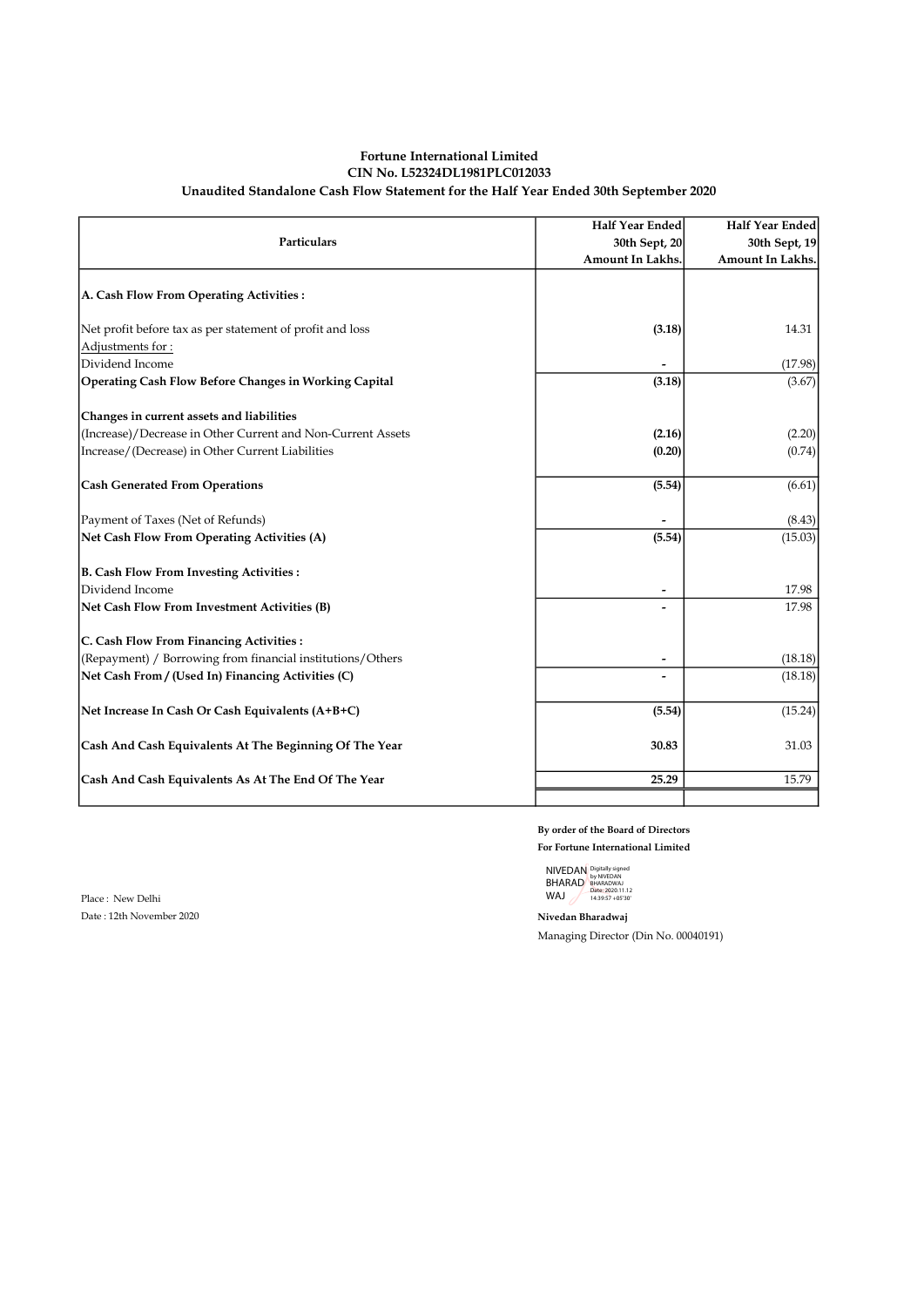#### Fortune International Limited CIN No. L52324DL1981PLC012033 Unaudited Standalone Cash Flow Statement for the Half Year Ended 30th September 2020

| <b>Particulars</b>                                          | Half Year Ended<br>30th Sept, 20<br><b>Amount In Lakhs.</b> | <b>Half Year Ended</b><br>30th Sept, 19<br><b>Amount In Lakhs.</b> |
|-------------------------------------------------------------|-------------------------------------------------------------|--------------------------------------------------------------------|
| A. Cash Flow From Operating Activities:                     |                                                             |                                                                    |
| Net profit before tax as per statement of profit and loss   | (3.18)                                                      | 14.31                                                              |
| Adjustments for:                                            |                                                             |                                                                    |
| Dividend Income                                             |                                                             | (17.98)                                                            |
| Operating Cash Flow Before Changes in Working Capital       | (3.18)                                                      | (3.67)                                                             |
| Changes in current assets and liabilities                   |                                                             |                                                                    |
| (Increase)/Decrease in Other Current and Non-Current Assets | (2.16)                                                      | (2.20)                                                             |
| Increase/(Decrease) in Other Current Liabilities            | (0.20)                                                      | (0.74)                                                             |
| <b>Cash Generated From Operations</b>                       | (5.54)                                                      | (6.61)                                                             |
| Payment of Taxes (Net of Refunds)                           |                                                             | (8.43)                                                             |
| Net Cash Flow From Operating Activities (A)                 | (5.54)                                                      | (15.03)                                                            |
| <b>B. Cash Flow From Investing Activities:</b>              |                                                             |                                                                    |
| Dividend Income                                             |                                                             | 17.98                                                              |
| Net Cash Flow From Investment Activities (B)                |                                                             | 17.98                                                              |
| C. Cash Flow From Financing Activities :                    |                                                             |                                                                    |
| (Repayment) / Borrowing from financial institutions/Others  | $\overline{a}$                                              | (18.18)                                                            |
| Net Cash From / (Used In) Financing Activities (C)          |                                                             | (18.18)                                                            |
| Net Increase In Cash Or Cash Equivalents (A+B+C)            | (5.54)                                                      | (15.24)                                                            |
| Cash And Cash Equivalents At The Beginning Of The Year      | 30.83                                                       | 31.03                                                              |
| Cash And Cash Equivalents As At The End Of The Year         | 25.29                                                       | 15.79                                                              |
|                                                             |                                                             |                                                                    |

By order of the Board of Directors For Fortune International Limited

NIVEDAN BHARAD WAJ Digitally signed by NIVEDAN BHARADWAJ Date: 2020.11.12 14:39:57 +05'30'

Managing Director (Din No. 00040191)

Place : New Delhi Date : 12th November 2020 Nivedan Bharadwaj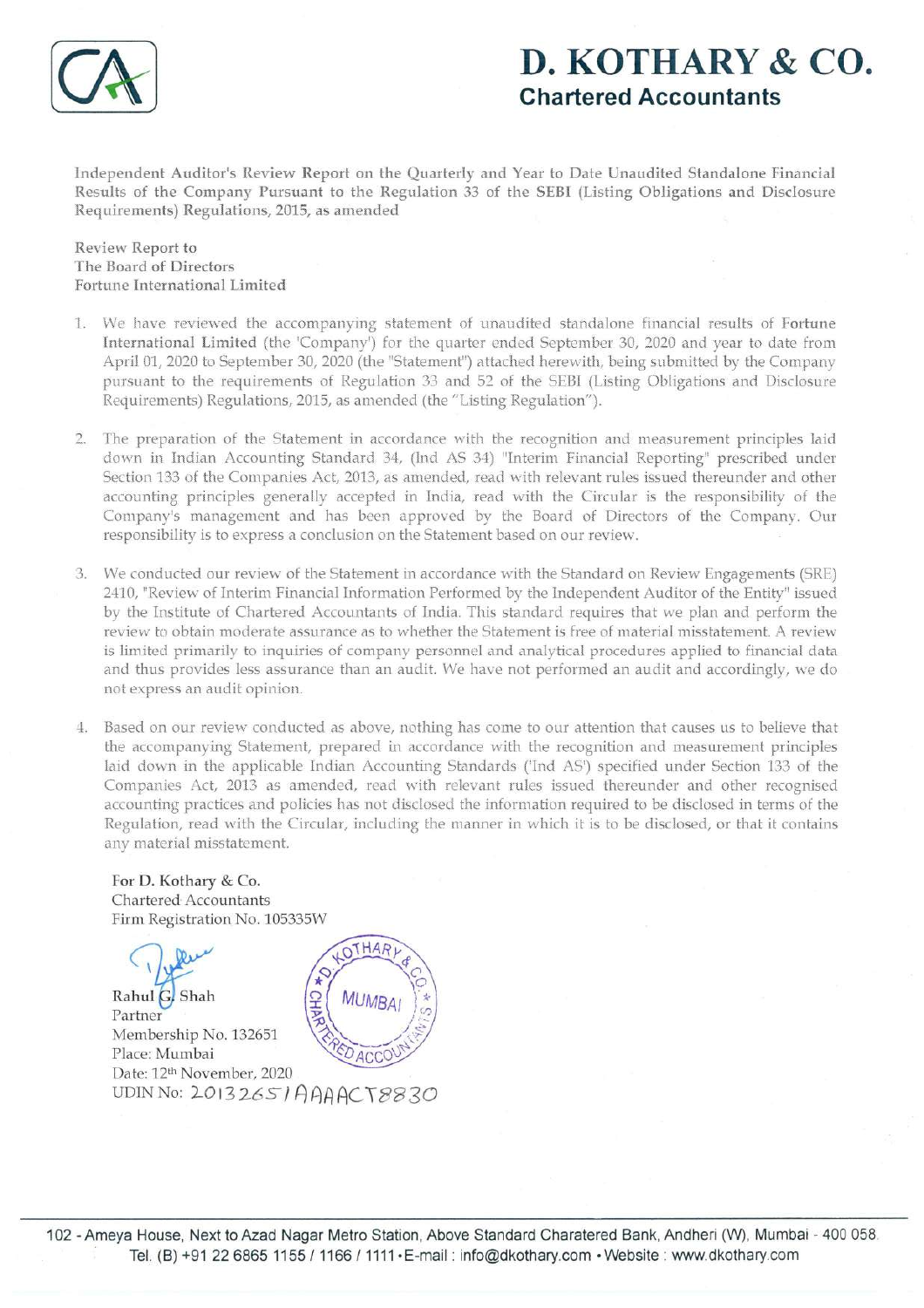

# D. KOTHARY&CO. Chartered Accountants

Independent Auditor's Review Report on the Quarterly and Year to Date Unaudited Standalone Financial Results of the Company Pursuant to the Regulation 33 of the SEBI (Listing Obligations and Disclosure Requirements) Regulations, 2015, as amended

Review Report to The Board of Directors Fortune International Limited

- 1. We have reviewed the accompanying statement of unaudited standalone financial results of Fortune International Limited (the 'Company') for the quarter ended September 30, 2020 and year to date from April 01, 2020 to September 30, 2020 (the "Statement") attached herewith, being submitted by the Company pursuant to the requirements of Regulation 33 and 52 of the SEBI (Listing Obligations and Disclosure Requirements) Regulations, 2015, as amended (the "Listing Regulation').
- 2. The preparation of the Statement in accordance with the recognition and measurement principles laid down in Indian Accounting Standard 34, (nd AS 34) "Interim Financial Reporting" prescribed under Section 133 of the Companies Act, 2013, as amended, read with relevant rules issued thereunder and other accounting principles generally accepted in India, read with the Circular is the responsibility of the Company's management and has been approved by the Board of Directors of the Company. Our responsibility is to express a conclusion on the Statement based on our review.
- 3. We conducted our reviewof the Statement in accordance with the Standard on Review Engagements (SRE) 2410, "Reviewof Interim Financial Information Performed by the Independent Auditor of the Entity" issued by the Institute of Chartered Accountants of India. This standard requires that we plan and perform the review to obtain moderate assurance as to whether the Statement is free of material misstatement. A review is limited primarily to inquiries of company personnel and analytical procedures applied to financial data and thus provides less assurance than an audit. We have not performed an audit and accordingly, we do not express an audit opinion.
- 4. Based on our review conducted as above, nothing has come to our attention that causes us to believe that the accompanying Statement, prepared in accordance with the recognition and measurement principles laid down in the applicable Indian Accounting Standards ('Ind AS') specified under Section 133 of the Companies Act, 2013 as amended, read with relevant rules issued thereunder and other recognised accounting practices and policies has not disclosed the information required to be disclosed in terms of the Regulation, read with the Circular, including the manner in which it is to be disclosed, or that it contains any material misstatement.

For D. Kothary & Co. Chartered: Accountants Firm Registration No. 105335W

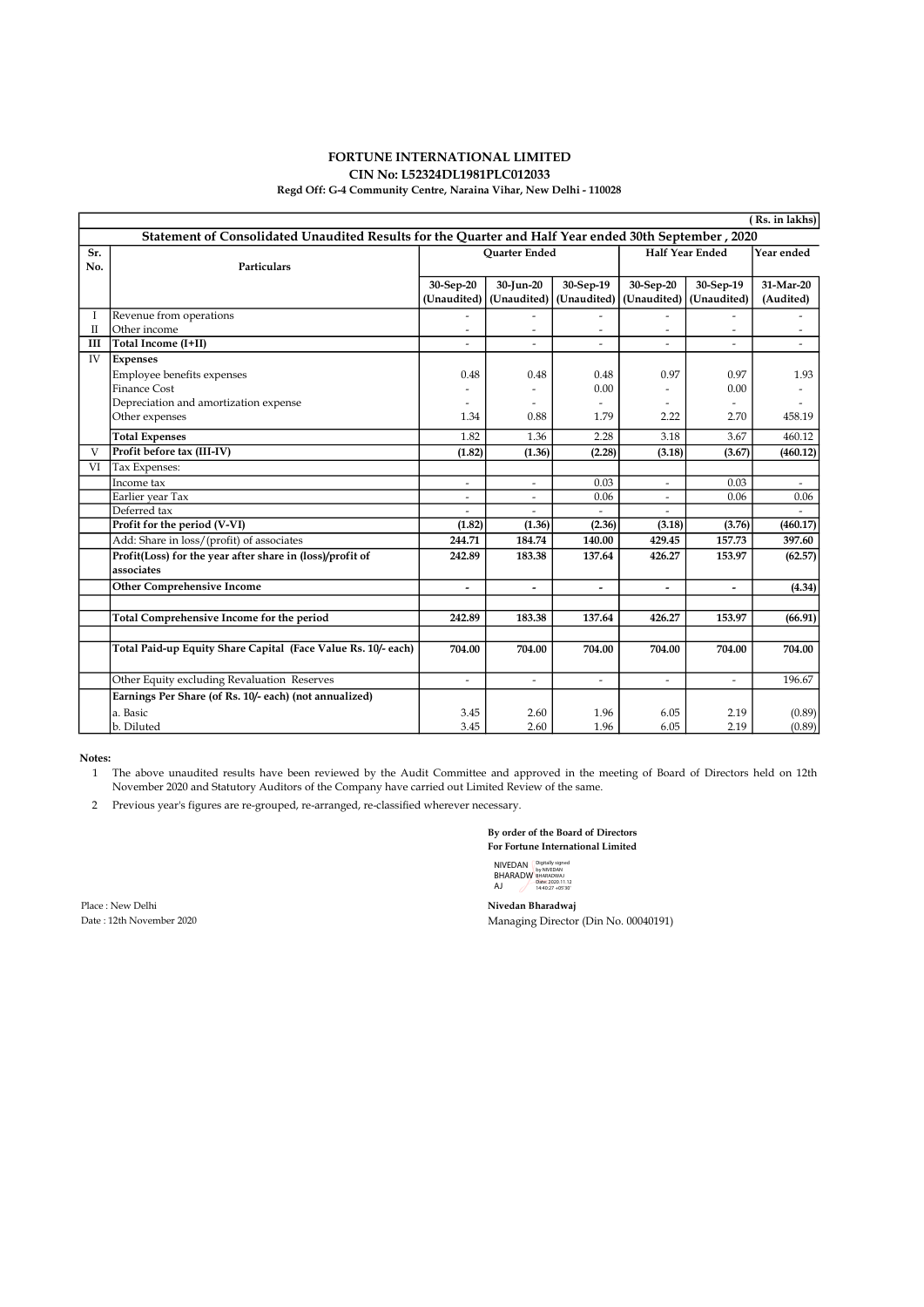#### FORTUNE INTERNATIONAL LIMITED CIN No: L52324DL1981PLC012033

#### Regd Off: G-4 Community Centre, Naraina Vihar, New Delhi - 110028

|                                                                                                      | (Rs. in lakhs)                                                |                       |                          |                          |             |                          |            |
|------------------------------------------------------------------------------------------------------|---------------------------------------------------------------|-----------------------|--------------------------|--------------------------|-------------|--------------------------|------------|
| 2020, Statement of Consolidated Unaudited Results for the Quarter and Half Year ended 30th September |                                                               |                       |                          |                          |             |                          |            |
| Sr.                                                                                                  |                                                               | <b>Ouarter Ended</b>  |                          |                          |             | <b>Half Year Ended</b>   | Year ended |
| No.                                                                                                  | Particulars                                                   |                       |                          |                          |             |                          |            |
|                                                                                                      |                                                               | 30-Sep-20             | 30-Jun-20                | 30-Sep-19                | 30-Sep-20   | 30-Sep-19                | 31-Mar-20  |
|                                                                                                      |                                                               | (Unaudited)           | (Unaudited)              | (Unaudited)              | (Unaudited) | (Unaudited)              | (Audited)  |
| Ι                                                                                                    | Revenue from operations                                       |                       |                          |                          |             |                          |            |
| П                                                                                                    | Other income                                                  |                       |                          |                          |             |                          |            |
| Ш                                                                                                    | Total Income (I+II)                                           |                       |                          | $\overline{a}$           |             |                          |            |
| IV                                                                                                   | <b>Expenses</b>                                               |                       |                          |                          |             |                          |            |
|                                                                                                      | Employee benefits expenses                                    | 0.48                  | 0.48                     | 0.48                     | 0.97        | 0.97                     | 1.93       |
|                                                                                                      | <b>Finance Cost</b>                                           |                       |                          | 0.00                     |             | 0.00                     |            |
|                                                                                                      | Depreciation and amortization expense                         |                       |                          |                          |             |                          |            |
|                                                                                                      | Other expenses                                                | 1.34                  | 0.88                     | 1.79                     | 2.22        | 2.70                     | 458.19     |
|                                                                                                      | <b>Total Expenses</b>                                         | 1.82                  | 1.36                     | 2.28                     | 3.18        | 3.67                     | 460.12     |
| V                                                                                                    | Profit before tax (III-IV)                                    | (1.82)                | (1.36)                   | (2.28)                   | (3.18)      | (3.67)                   | (460.12)   |
| VI                                                                                                   | Tax Expenses:                                                 |                       |                          |                          |             |                          |            |
|                                                                                                      | Income tax                                                    |                       |                          | 0.03                     |             | 0.03                     |            |
|                                                                                                      | Earlier year Tax                                              |                       |                          | 0.06                     |             | 0.06                     | 0.06       |
|                                                                                                      | Deferred tax                                                  |                       |                          |                          |             |                          |            |
|                                                                                                      | Profit for the period (V-VI)                                  | (1.82)                | (1.36)                   | (2.36)                   | (3.18)      | (3.76)                   | (460.17)   |
|                                                                                                      | Add: Share in loss/(profit) of associates                     | 244.71                | 184.74                   | 140.00                   | 429.45      | 157.73                   | 397.60     |
|                                                                                                      | Profit(Loss) for the year after share in (loss)/profit of     | 242.89                | 183.38                   | 137.64                   | 426.27      | 153.97                   | (62.57)    |
|                                                                                                      | associates                                                    |                       |                          |                          |             |                          |            |
|                                                                                                      | <b>Other Comprehensive Income</b>                             | $\overline{a}$        | $\overline{\phantom{0}}$ | $\overline{\phantom{a}}$ | -           |                          | (4.34)     |
|                                                                                                      |                                                               |                       |                          |                          |             |                          |            |
|                                                                                                      | Total Comprehensive Income for the period                     | 242.89                | 183.38                   | 137.64                   | 426.27      | 153.97                   | (66.91)    |
|                                                                                                      |                                                               |                       |                          |                          |             |                          |            |
|                                                                                                      | Total Paid-up Equity Share Capital (Face Value Rs. 10/- each) | 704.00                | 704.00                   | 704.00                   | 704.00      | 704.00                   | 704.00     |
|                                                                                                      | Other Equity excluding Revaluation Reserves                   | $\tilde{\phantom{a}}$ | $\overline{a}$           | $\overline{\phantom{a}}$ | $\equiv$    | $\overline{\phantom{a}}$ | 196.67     |
|                                                                                                      | Earnings Per Share (of Rs. 10/- each) (not annualized)        |                       |                          |                          |             |                          |            |
|                                                                                                      | a. Basic                                                      | 3.45                  | 2.60                     | 1.96                     | 6.05        | 2.19                     | (0.89)     |
|                                                                                                      | b. Diluted                                                    | 3.45                  | 2.60                     | 1.96                     | 6.05        | 2.19                     | (0.89)     |

Notes:

1 The above unaudited results have been reviewed by the Audit Committee and approved in the meeting of Board of Directors held on 12th November 2020 and Statutory Auditors of the Company have carried out Limited Review of the same.

2 Previous year's figures are re-grouped, re-arranged, re-classified wherever necessary.

By order of the Board of Directors

For Fortune International Limited

NIVEDAN BHARADW AJ Digitally signed by NIVEDAN BHARADWAJ Date: 2020.11.12 14:40:27 +05'30'

Place : New Delhi **Nivedan Bharadwaj**<br>
Date : 12th November 2020 **18 Maradwaj** Managing Director

Managing Director (Din No. 00040191)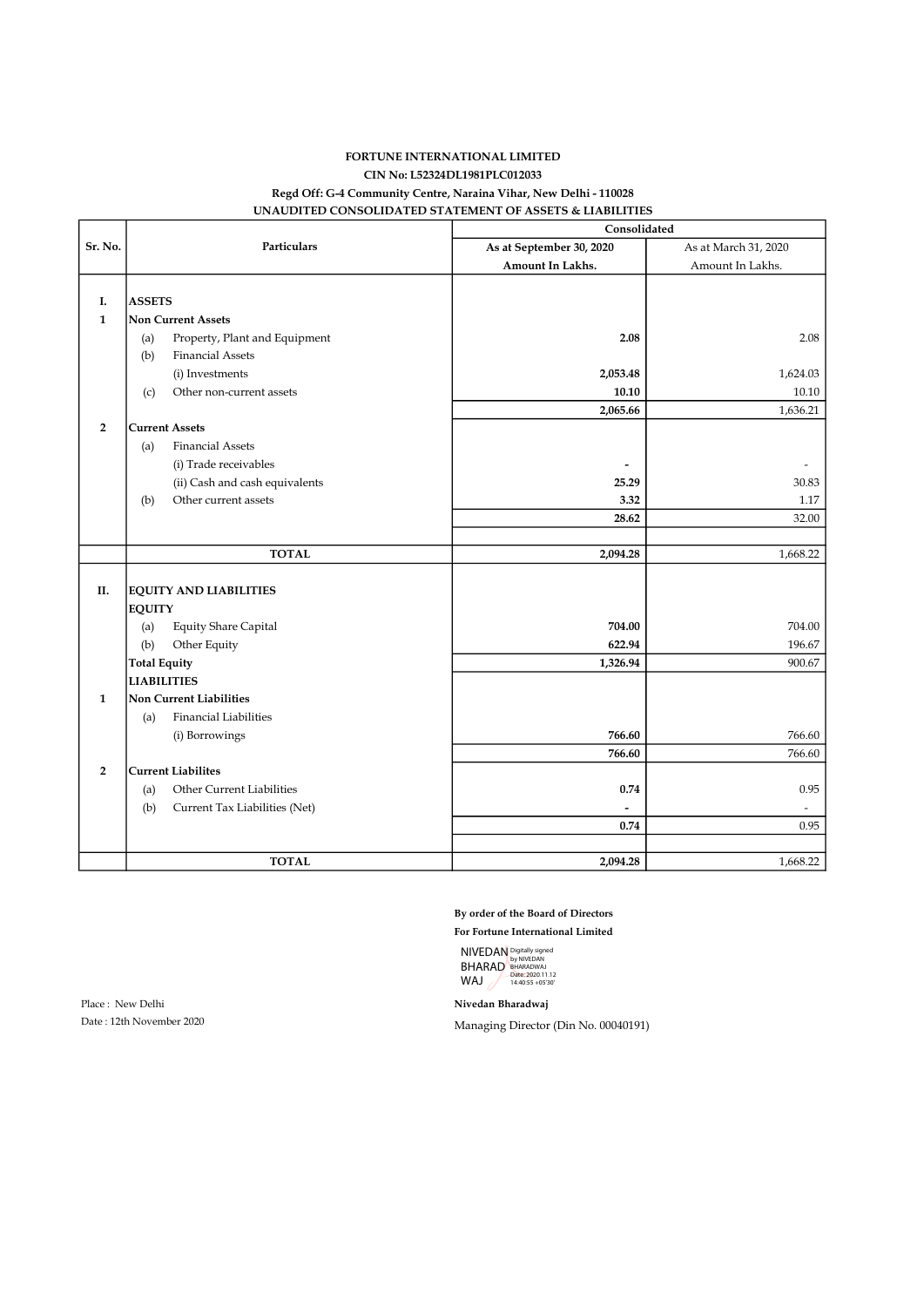### FORTUNE INTERNATIONAL LIMITED CIN No: L52324DL1981PLC012033 Regd Off: G-4 Community Centre, Naraina Vihar, New Delhi - 110028 UNAUDITED CONSOLIDATED STATEMENT OF ASSETS & LIABILITIES

|                |                                      | Consolidated             |                      |  |
|----------------|--------------------------------------|--------------------------|----------------------|--|
| Sr. No.        | <b>Particulars</b>                   | As at September 30, 2020 | As at March 31, 2020 |  |
|                |                                      | Amount In Lakhs.         | Amount In Lakhs.     |  |
|                |                                      |                          |                      |  |
| I.             | <b>ASSETS</b>                        |                          |                      |  |
| $\mathbf{1}$   | <b>Non Current Assets</b>            |                          |                      |  |
|                | Property, Plant and Equipment<br>(a) | 2.08                     | 2.08                 |  |
|                | <b>Financial Assets</b><br>(b)       |                          |                      |  |
|                | (i) Investments                      | 2,053.48                 | 1,624.03             |  |
|                | Other non-current assets<br>(c)      | 10.10                    | 10.10                |  |
|                |                                      | 2,065.66                 | 1,636.21             |  |
| $\overline{2}$ | <b>Current Assets</b>                |                          |                      |  |
|                | <b>Financial Assets</b><br>(a)       |                          |                      |  |
|                | (i) Trade receivables                |                          |                      |  |
|                | (ii) Cash and cash equivalents       | 25.29                    | 30.83                |  |
|                | Other current assets<br>(b)          | 3.32                     | 1.17                 |  |
|                |                                      | 28.62                    | 32.00                |  |
|                |                                      |                          |                      |  |
|                | <b>TOTAL</b>                         | 2,094.28                 | 1,668.22             |  |
|                |                                      |                          |                      |  |
| II.            | <b>EQUITY AND LIABILITIES</b>        |                          |                      |  |
|                | <b>EQUITY</b>                        |                          |                      |  |
|                | <b>Equity Share Capital</b><br>(a)   | 704.00                   | 704.00               |  |
|                | Other Equity<br>(b)                  | 622.94                   | 196.67               |  |
|                | <b>Total Equity</b>                  | 1,326.94                 | 900.67               |  |
|                | <b>LIABILITIES</b>                   |                          |                      |  |
| $\mathbf{1}$   | <b>Non Current Liabilities</b>       |                          |                      |  |
|                | <b>Financial Liabilities</b><br>(a)  |                          |                      |  |
|                | (i) Borrowings                       | 766.60                   | 766.60               |  |
|                |                                      | 766.60                   | 766.60               |  |
| $\overline{2}$ | <b>Current Liabilites</b>            |                          |                      |  |
|                | Other Current Liabilities<br>(a)     | 0.74                     | 0.95                 |  |
|                | (b)<br>Current Tax Liabilities (Net) |                          |                      |  |
|                |                                      | 0.74                     | 0.95                 |  |
|                |                                      |                          |                      |  |
|                | <b>TOTAL</b>                         | 2,094.28                 | 1,668.22             |  |

By order of the Board of Directors

For Fortune International Limited

NIVEDAN BHARAD WAJ Digitally signed by NIVEDAN BHARADWAJ Date: 2020.11.12 14:40:55 +05'30'

Place : New Delhi **Nivedan Bharadwaj** 

Date : 12th November 2020 Managing Director (Din No. 00040191)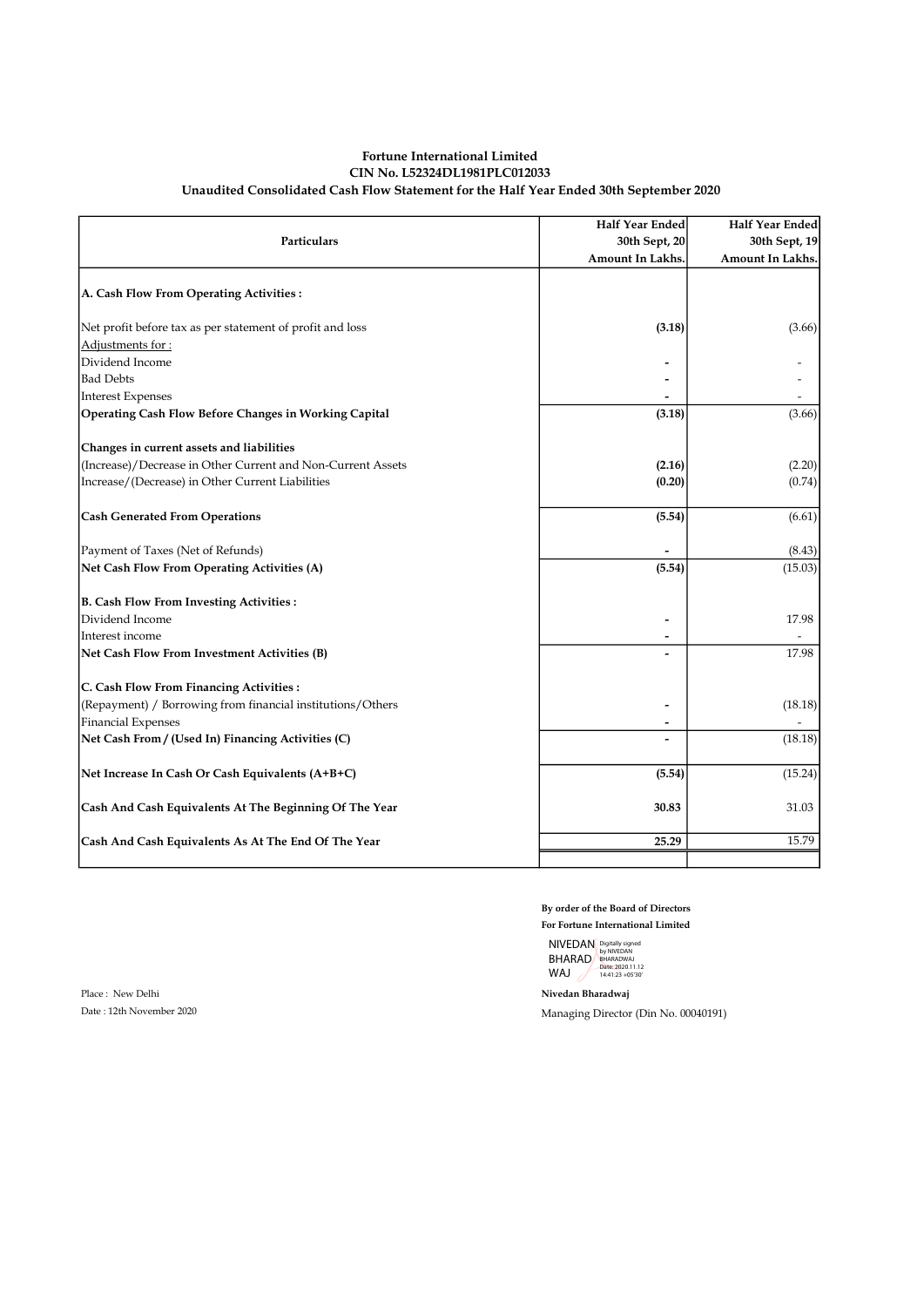#### Fortune International Limited CIN No. L52324DL1981PLC012033 Unaudited Consolidated Cash Flow Statement for the Half Year Ended 30th September 2020

| Particulars                                                 | Half Year Ended<br>30th Sept, 20<br>Amount In Lakhs. | Half Year Ended<br>30th Sept, 19<br>Amount In Lakhs. |
|-------------------------------------------------------------|------------------------------------------------------|------------------------------------------------------|
| A. Cash Flow From Operating Activities:                     |                                                      |                                                      |
| Net profit before tax as per statement of profit and loss   | (3.18)                                               | (3.66)                                               |
| Adjustments for:                                            |                                                      |                                                      |
| Dividend Income                                             |                                                      |                                                      |
| <b>Bad Debts</b>                                            |                                                      |                                                      |
| <b>Interest Expenses</b>                                    |                                                      |                                                      |
| Operating Cash Flow Before Changes in Working Capital       | (3.18)                                               | (3.66)                                               |
| Changes in current assets and liabilities                   |                                                      |                                                      |
| (Increase)/Decrease in Other Current and Non-Current Assets | (2.16)                                               | (2.20)                                               |
| Increase/(Decrease) in Other Current Liabilities            | (0.20)                                               | (0.74)                                               |
| <b>Cash Generated From Operations</b>                       | (5.54)                                               | (6.61)                                               |
| Payment of Taxes (Net of Refunds)                           |                                                      | (8.43)                                               |
| Net Cash Flow From Operating Activities (A)                 | (5.54)                                               | (15.03)                                              |
| <b>B. Cash Flow From Investing Activities:</b>              |                                                      |                                                      |
| Dividend Income                                             |                                                      | 17.98                                                |
| Interest income                                             |                                                      |                                                      |
| Net Cash Flow From Investment Activities (B)                |                                                      | 17.98                                                |
| C. Cash Flow From Financing Activities:                     |                                                      |                                                      |
| (Repayment) / Borrowing from financial institutions/Others  |                                                      | (18.18)                                              |
| <b>Financial Expenses</b>                                   |                                                      |                                                      |
| Net Cash From / (Used In) Financing Activities (C)          |                                                      | (18.18)                                              |
| Net Increase In Cash Or Cash Equivalents (A+B+C)            | (5.54)                                               | (15.24)                                              |
| Cash And Cash Equivalents At The Beginning Of The Year      | 30.83                                                | 31.03                                                |
| Cash And Cash Equivalents As At The End Of The Year         | 25.29                                                | 15.79                                                |
|                                                             |                                                      |                                                      |

By order of the Board of Directors

For Fortune International Limited NIVEDAN BHARAD WAJ Digitally signed by NIVEDAN BHARADWAJ Date: 2020.11.12 14:41:23 +05'30'

Date : 12th November 2020 Managing Director (Din No. 00040191)

Place : New Delhi Nivedan Bharadwaj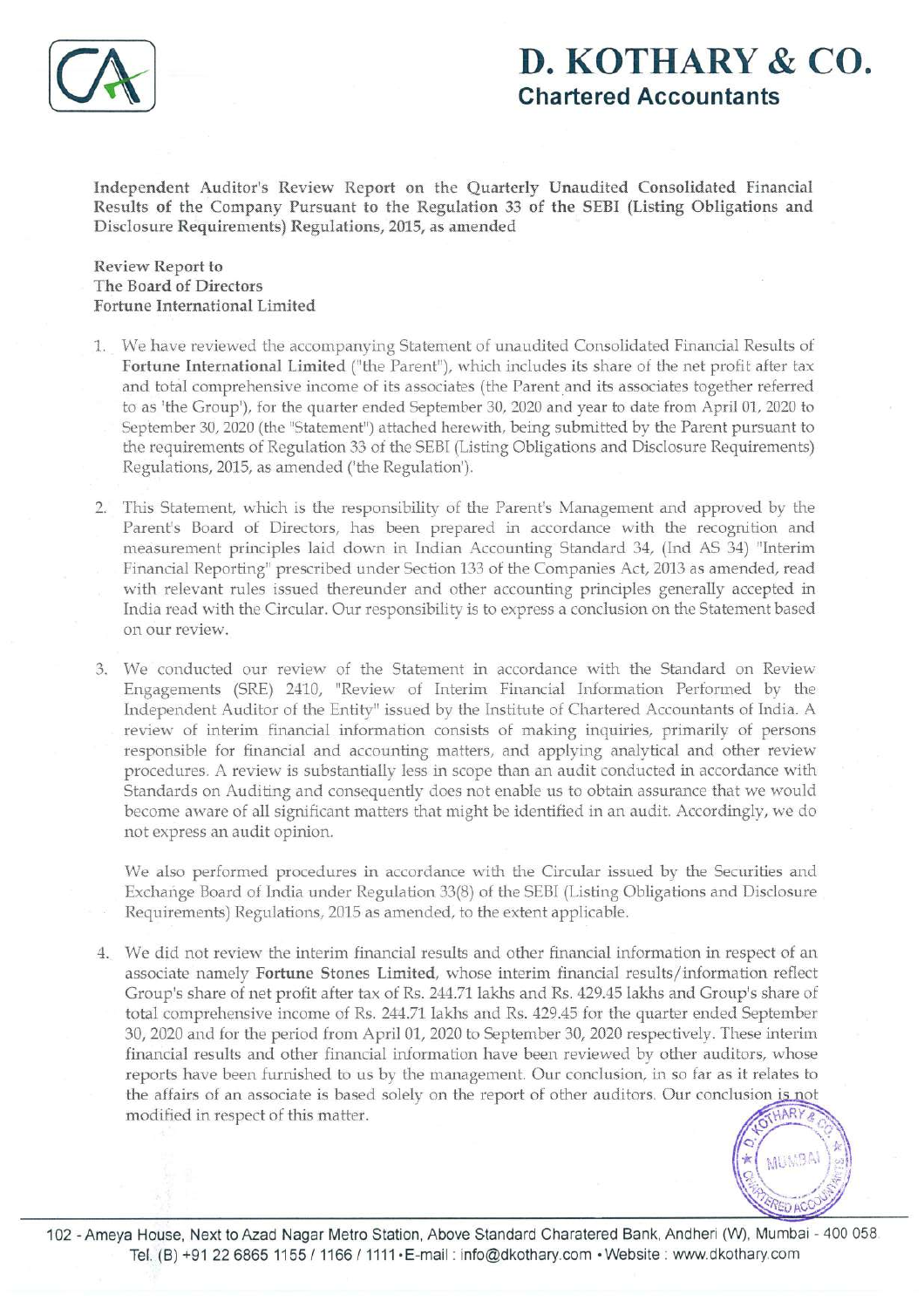

## D. KOTHARY & CO. Chartered Accountants

Independent Auditor's Review Report on the Quarterly Unaudited Consolidated Financial Results of the Company Pursuant to the Regulation 33 of the SEBI (Listing Obligations and Disclosure Requirements) Regulations, 2015, as amended

Review Report to The Board of Directors Fortune International Limited

- 1. We have reviewed the accompanying Statement of unaudited Consolidated Financial Results of Fortune International Limited ("the Parent"), which includes its share of the net profit after tax and total comprehensive income of its associates (the Parent and its associates together referred to as 'the Group'), for the quarter ended September 30, 2020 and year to date from April 01, 2020 to September 30, 2020 (the "Statement") attached herewith, being submitted by the Parent pursuant to the requirements of Regulation 33 of the SEBI (Listing Obligations and Disclosure Requirements) Regulations, 2015, as amended ('the Regulation').
- 2. This Statement, which is the responsibility of the Parent's Management and approved by the Parent's Board of Directors, has been prepared in accordance with the recognition and measurement principles laid down in Indian Accounting Standard 34, (Ind AS 34) "Interim Financial Reporting" prescribed under Section 133 of the Companies Act, 2013 as amended, read with relevant rules issued thereunder and other accounting principles generally accepted in India read with the Circular. Our responsibility is to express a conclusion on the Statement based on our review.
- 3. We conducted our review of the Statement in accordance with the Standard on Review Engagements (SRE) 2410, "Review of Interim Financial Information Performed by the Independent Auditor of the Entity" issued bythe Institute of Chartered Accountants of India. A review of interim financial information consists of making inquiries, primarily of persons responsible for financial and accounting matters, and applying analytical and other review procedures. A reviewis substantially less in scope than an audit conducted in accordance with Standards on Auditing and consequently does not enable us to obtain assurance that we would become aware of all significant matters that might be identified in an audit. Accordingly, we do not express an audit opinion.

Wealso performed procedures in accordance with the Circular issued by the Securities and Exchange Board of India under Regulation 33(8) of the SEBI (Listing Obligations and Disclosure Requirements) Regulations, 2015 as amended, to the extent applicable.

4. We did not review the interim financial results and other financial information in respect of an associate namely Fortune Stones Limited, whose interim financial results/information reflect Group's share of net profit after tax of Rs. 244.71 lakhs and Rs. 429.45 lakhs and Group's share of total comprehensive income of Rs. 244.71 lakhs and Rs. 429.45 for the quarter ended September 30, 2020 and for the period from April 01, 2020 to September 30, 2020 respectively. These interim financial results and other financial information have been reviewed by other auditors, whose reports have been furnished to us by the management. Our conclusion, in so far as it relates to the affairs of an associate is based solely on the report of other auditors. Our conclusion is not designation is<br>Group's share of net profit after tax of Rs. 244.71 lakhs and Rs. 429.45 lakhs and Group's share<br>total comprehensive income of Rs. 244.71 lakhs and Rs. 429.45 for the quarter ended Septem<br>30, 2020 and for th



and the contract of the contract of the contract of the contract of the contract of the contract of the contract of the contract of the contract of the contract of the contract of the contract of the contract of the contra 102 - Ameya House, Next to Azad Nagar Metro Station, Above Standard Charatered Bank, Andheri (W), Mumbai - 400 058 Tel. (B) +91 22 6865 1155 / 1166 / 1111+E-mail : info@dkothary.com » Website : www.dkothary.com